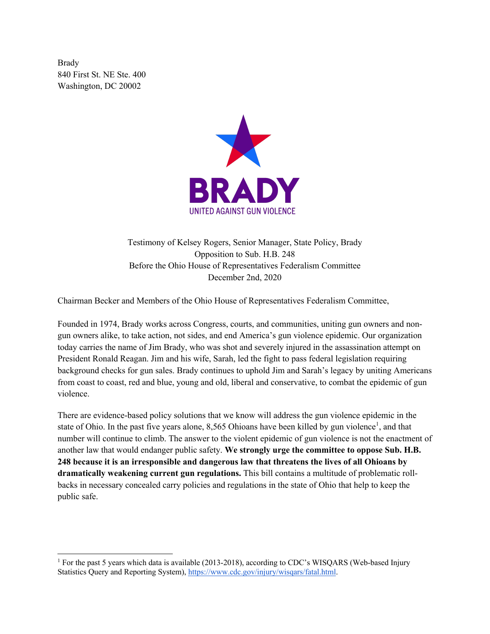Brady 840 First St. NE Ste. 400 Washington, DC 20002



Testimony of Kelsey Rogers, Senior Manager, State Policy, Brady Opposition to Sub. H.B. 248 Before the Ohio House of Representatives Federalism Committee December 2nd, 2020

Chairman Becker and Members of the Ohio House of Representatives Federalism Committee,

Founded in 1974, Brady works across Congress, courts, and communities, uniting gun owners and nongun owners alike, to take action, not sides, and end America's gun violence epidemic. Our organization today carries the name of Jim Brady, who was shot and severely injured in the assassination attempt on President Ronald Reagan. Jim and his wife, Sarah, led the fight to pass federal legislation requiring background checks for gun sales. Brady continues to uphold Jim and Sarah's legacy by uniting Americans from coast to coast, red and blue, young and old, liberal and conservative, to combat the epidemic of gun violence.

There are evidence-based policy solutions that we know will address the gun violence epidemic in the state of Ohio. In the past five years alone, 8,565 Ohioans have been killed by gun violence<sup>1</sup>, and that number will continue to climb. The answer to the violent epidemic of gun violence is not the enactment of another law that would endanger public safety. **We strongly urge the committee to oppose Sub. H.B. 248 because it is an irresponsible and dangerous law that threatens the lives of all Ohioans by dramatically weakening current gun regulations.** This bill contains a multitude of problematic rollbacks in necessary concealed carry policies and regulations in the state of Ohio that help to keep the public safe.

<sup>&</sup>lt;sup>1</sup> For the past 5 years which data is available (2013-2018), according to CDC's WISQARS (Web-based Injury Statistics Query and Reporting System), https://www.cdc.gov/injury/wisqars/fatal.html.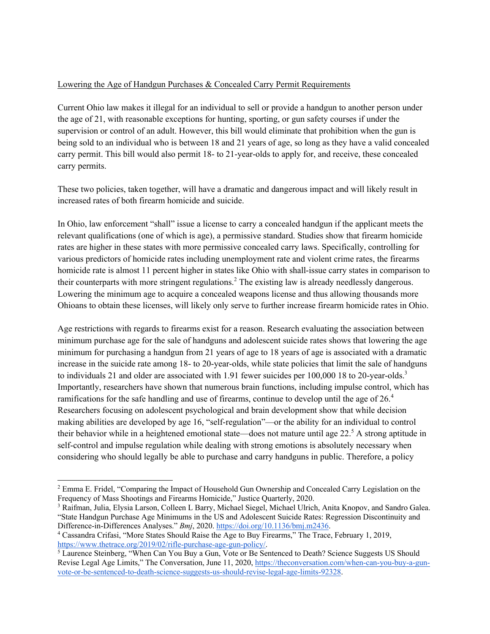## Lowering the Age of Handgun Purchases & Concealed Carry Permit Requirements

Current Ohio law makes it illegal for an individual to sell or provide a handgun to another person under the age of 21, with reasonable exceptions for hunting, sporting, or gun safety courses if under the supervision or control of an adult. However, this bill would eliminate that prohibition when the gun is being sold to an individual who is between 18 and 21 years of age, so long as they have a valid concealed carry permit. This bill would also permit 18- to 21-year-olds to apply for, and receive, these concealed carry permits.

These two policies, taken together, will have a dramatic and dangerous impact and will likely result in increased rates of both firearm homicide and suicide.

In Ohio, law enforcement "shall" issue a license to carry a concealed handgun if the applicant meets the relevant qualifications (one of which is age), a permissive standard. Studies show that firearm homicide rates are higher in these states with more permissive concealed carry laws. Specifically, controlling for various predictors of homicide rates including unemployment rate and violent crime rates, the firearms homicide rate is almost 11 percent higher in states like Ohio with shall-issue carry states in comparison to their counterparts with more stringent regulations.<sup>2</sup> The existing law is already needlessly dangerous. Lowering the minimum age to acquire a concealed weapons license and thus allowing thousands more Ohioans to obtain these licenses, will likely only serve to further increase firearm homicide rates in Ohio.

Age restrictions with regards to firearms exist for a reason. Research evaluating the association between minimum purchase age for the sale of handguns and adolescent suicide rates shows that lowering the age minimum for purchasing a handgun from 21 years of age to 18 years of age is associated with a dramatic increase in the suicide rate among 18- to 20-year-olds, while state policies that limit the sale of handguns to individuals 21 and older are associated with 1.91 fewer suicides per 100,000 18 to 20-year-olds.<sup>3</sup> Importantly, researchers have shown that numerous brain functions, including impulse control, which has ramifications for the safe handling and use of firearms, continue to develop until the age of 26.<sup>4</sup> Researchers focusing on adolescent psychological and brain development show that while decision making abilities are developed by age 16, "self-regulation"—or the ability for an individual to control their behavior while in a heightened emotional state—does not mature until age 22.<sup>5</sup> A strong aptitude in self-control and impulse regulation while dealing with strong emotions is absolutely necessary when considering who should legally be able to purchase and carry handguns in public. Therefore, a policy

<sup>&</sup>lt;sup>2</sup> Emma E. Fridel, "Comparing the Impact of Household Gun Ownership and Concealed Carry Legislation on the Frequency of Mass Shootings and Firearms Homicide," Justice Quarterly, 2020.

<sup>&</sup>lt;sup>3</sup> Raifman, Julia, Elysia Larson, Colleen L Barry, Michael Siegel, Michael Ulrich, Anita Knopov, and Sandro Galea. "State Handgun Purchase Age Minimums in the US and Adolescent Suicide Rates: Regression Discontinuity and

Difference-in-Differences Analyses." *Bmj*, 2020. https://doi.org/10.1136/bmj.m2436. 4 Cassandra Crifasi, "More States Should Raise the Age to Buy Firearms," The Trace, February 1, 2019, https://www.thetrace.org/2019/02/rifle-purchase-age-gun-policy/.<br>
<sup>5</sup> Laurence Steinberg, "When Can You Buy a Gun, Vote or Be Sentenced to Death? Science Suggests US Should

Revise Legal Age Limits," The Conversation, June 11, 2020, https://theconversation.com/when-can-you-buy-a-gunvote-or-be-sentenced-to-death-science-suggests-us-should-revise-legal-age-limits-92328.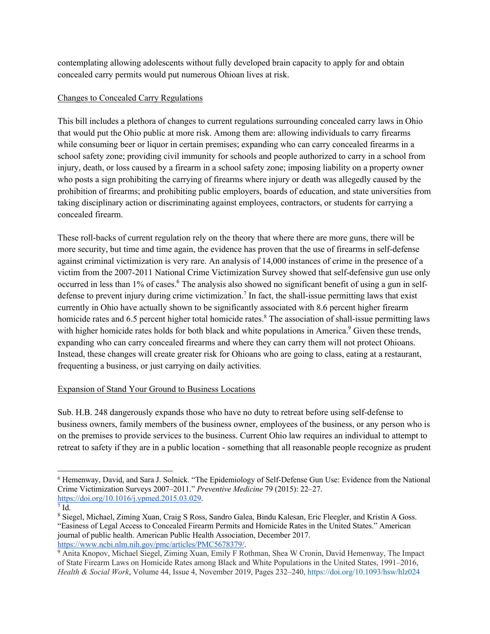contemplating allowing adolescents without fully developed brain capacity to apply for and obtain concealed carry permits would put numerous Ohioan lives at risk.

# Changes to Concealed Carry Regulations

This bill includes a plethora of changes to current regulations surrounding concealed carry laws in Ohio that would put the Ohio public at more risk. Among them are: allowing individuals to carry firearms while consuming beer or liquor in certain premises; expanding who can carry concealed firearms in a school safety zone; providing civil immunity for schools and people authorized to carry in a school from injury, death, or loss caused by a firearm in a school safety zone; imposing liability on a property owner who posts a sign prohibiting the carrying of firearms where injury or death was allegedly caused by the prohibition of firearms; and prohibiting public employers, boards of education, and state universities from taking disciplinary action or discriminating against employees, contractors, or students for carrying a concealed firearm.

These roll-backs of current regulation rely on the theory that where there are more guns, there will be more security, but time and time again, the evidence has proven that the use of firearms in self-defense against criminal victimization is very rare. An analysis of 14,000 instances of crime in the presence of a victim from the 2007-2011 National Crime Victimization Survey showed that self-defensive gun use only occurred in less than 1% of cases.<sup>6</sup> The analysis also showed no significant benefit of using a gun in selfdefense to prevent injury during crime victimization.<sup>7</sup> In fact, the shall-issue permitting laws that exist currently in Ohio have actually shown to be significantly associated with 8.6 percent higher firearm homicide rates and 6.5 percent higher total homicide rates.<sup>8</sup> The association of shall-issue permitting laws with higher homicide rates holds for both black and white populations in America.<sup>9</sup> Given these trends, expanding who can carry concealed firearms and where they can carry them will not protect Ohioans. Instead, these changes will create greater risk for Ohioans who are going to class, eating at a restaurant, frequenting a business, or just carrying on daily activities.

# Expansion of Stand Your Ground to Business Locations

Sub. H.B. 248 dangerously expands those who have no duty to retreat before using self-defense to business owners, family members of the business owner, employees of the business, or any person who is on the premises to provide services to the business. Current Ohio law requires an individual to attempt to retreat to safety if they are in a public location - something that all reasonable people recognize as prudent

<sup>6</sup> Hemenway, David, and Sara J. Solnick. "The Epidemiology of Self-Defense Gun Use: Evidence from the National Crime Victimization Surveys 2007–2011." *Preventive Medicine* 79 (2015): 22–27. https://doi.org/10.1016/j.ypmed.2015.03.029.

 $^7$  Id.

<sup>8</sup> Siegel, Michael, Ziming Xuan, Craig S Ross, Sandro Galea, Bindu Kalesan, Eric Fleegler, and Kristin A Goss. "Easiness of Legal Access to Concealed Firearm Permits and Homicide Rates in the United States." American journal of public health. American Public Health Association, December 2017. https://www.ncbi.nlm.nih.gov/pmc/articles/PMC5678379/.<br><sup>9</sup> Anita Knopov, Michael Siegel, Ziming Xuan, Emily F Rothman, Shea W Cronin, David Hemenway, The Impact

of State Firearm Laws on Homicide Rates among Black and White Populations in the United States, 1991–2016, *Health & Social Work*, Volume 44, Issue 4, November 2019, Pages 232–240, https://doi.org/10.1093/hsw/hlz024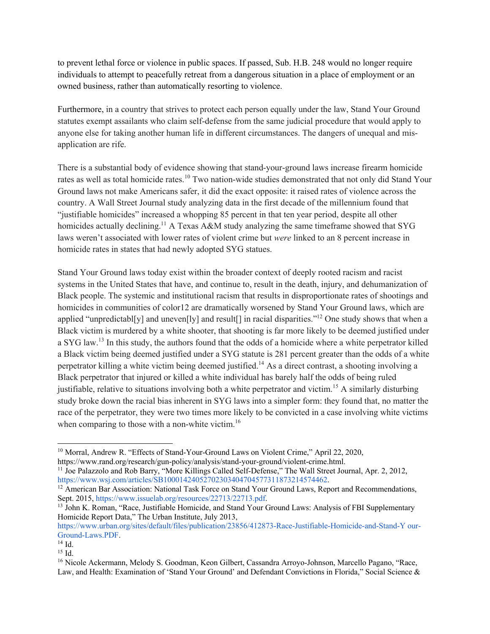to prevent lethal force or violence in public spaces. If passed, Sub. H.B. 248 would no longer require individuals to attempt to peacefully retreat from a dangerous situation in a place of employment or an owned business, rather than automatically resorting to violence.

Furthermore, in a country that strives to protect each person equally under the law, Stand Your Ground statutes exempt assailants who claim self-defense from the same judicial procedure that would apply to anyone else for taking another human life in different circumstances. The dangers of unequal and misapplication are rife.

There is a substantial body of evidence showing that stand-your-ground laws increase firearm homicide rates as well as total homicide rates.<sup>10</sup> Two nation-wide studies demonstrated that not only did Stand Your Ground laws not make Americans safer, it did the exact opposite: it raised rates of violence across the country. A Wall Street Journal study analyzing data in the first decade of the millennium found that "justifiable homicides" increased a whopping 85 percent in that ten year period, despite all other homicides actually declining.<sup>11</sup> A Texas A&M study analyzing the same timeframe showed that SYG laws weren't associated with lower rates of violent crime but *were* linked to an 8 percent increase in homicide rates in states that had newly adopted SYG statues.

Stand Your Ground laws today exist within the broader context of deeply rooted racism and racist systems in the United States that have, and continue to, result in the death, injury, and dehumanization of Black people. The systemic and institutional racism that results in disproportionate rates of shootings and homicides in communities of color12 are dramatically worsened by Stand Your Ground laws, which are applied "unpredictabl[y] and uneven[ly] and result[] in racial disparities."<sup>12</sup> One study shows that when a Black victim is murdered by a white shooter, that shooting is far more likely to be deemed justified under a SYG law.<sup>13</sup> In this study, the authors found that the odds of a homicide where a white perpetrator killed a Black victim being deemed justified under a SYG statute is 281 percent greater than the odds of a white perpetrator killing a white victim being deemed justified.14 As a direct contrast, a shooting involving a Black perpetrator that injured or killed a white individual has barely half the odds of being ruled justifiable, relative to situations involving both a white perpetrator and victim.<sup>15</sup> A similarly disturbing study broke down the racial bias inherent in SYG laws into a simpler form: they found that, no matter the race of the perpetrator, they were two times more likely to be convicted in a case involving white victims when comparing to those with a non-white victim.<sup>16</sup>

<sup>&</sup>lt;sup>10</sup> Morral, Andrew R. "Effects of Stand-Your-Ground Laws on Violent Crime," April 22, 2020,

https://www.rand.org/research/gun-policy/analysis/stand-your-ground/violent-crime.html.<br><sup>11</sup> Joe Palazzolo and Rob Barry, "More Killings Called Self-Defense," The Wall Street Journal, Apr. 2, 2012, https://www.wsj.com/articles/SB10001424052702303404704577311873214574462.

<sup>&</sup>lt;sup>12</sup> American Bar Association: National Task Force on Stand Your Ground Laws, Report and Recommendations, Sept. 2015, https://www.issuelab.org/resources/22713/22713.pdf.

<sup>&</sup>lt;sup>13</sup> John K. Roman, "Race, Justifiable Homicide, and Stand Your Ground Laws: Analysis of FBI Supplementary Homicide Report Data," The Urban Institute, July 2013,

https://www.urban.org/sites/default/files/publication/23856/412873-Race-Justifiable-Homicide-and-Stand-Y our-Ground-Laws.PDF.

<sup>14</sup> Id.

 $15$  Id.

<sup>&</sup>lt;sup>16</sup> Nicole Ackermann, Melody S. Goodman, Keon Gilbert, Cassandra Arroyo-Johnson, Marcello Pagano, "Race, Law, and Health: Examination of 'Stand Your Ground' and Defendant Convictions in Florida," Social Science &